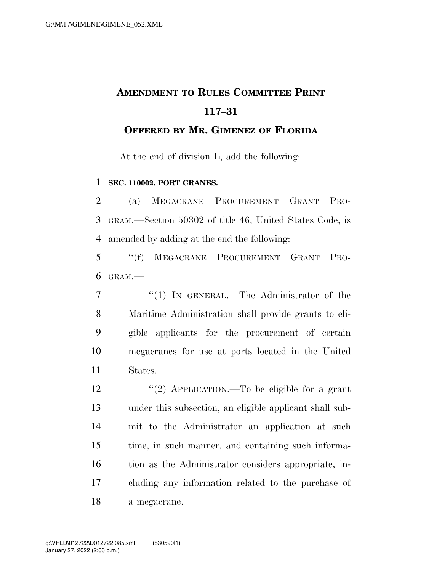## **AMENDMENT TO RULES COMMITTEE PRINT 117–31**

**OFFERED BY MR. GIMENEZ OF FLORIDA**

At the end of division L, add the following:

**SEC. 110002. PORT CRANES.** 

 (a) MEGACRANE PROCUREMENT GRANT PRO- GRAM.—Section 50302 of title 46, United States Code, is amended by adding at the end the following:

 ''(f) MEGACRANE PROCUREMENT GRANT PRO-GRAM $-$ 

7 "(1) IN GENERAL.—The Administrator of the Maritime Administration shall provide grants to eli- gible applicants for the procurement of certain megacranes for use at ports located in the United States.

12 "(2) APPLICATION.—To be eligible for a grant under this subsection, an eligible applicant shall sub- mit to the Administrator an application at such time, in such manner, and containing such informa- tion as the Administrator considers appropriate, in- cluding any information related to the purchase of a megacrane.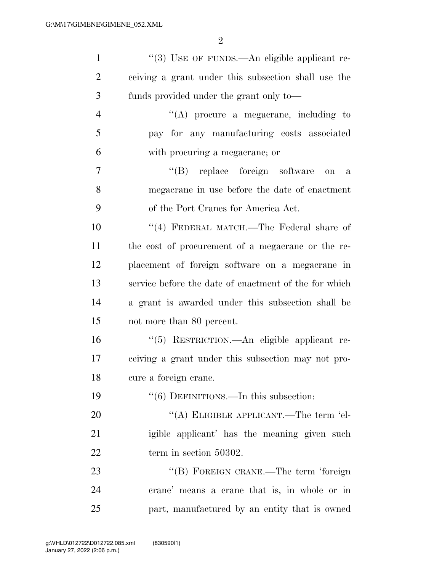| $\mathbf{1}$   | "(3) USE OF FUNDS.—An eligible applicant re-          |
|----------------|-------------------------------------------------------|
| $\overline{2}$ | ceiving a grant under this subsection shall use the   |
| 3              | funds provided under the grant only to—               |
| $\overline{4}$ | $\lq\lq$ procure a megacrane, including to            |
| 5              | pay for any manufacturing costs associated            |
| 6              | with procuring a megacrane; or                        |
| 7              | "(B) replace foreign software<br>on<br>$\mathbf{a}$   |
| 8              | megacrane in use before the date of enactment         |
| 9              | of the Port Cranes for America Act.                   |
| 10             | "(4) FEDERAL MATCH.—The Federal share of              |
| 11             | the cost of procurement of a megacrane or the re-     |
| 12             | placement of foreign software on a megacrane in       |
| 13             | service before the date of enactment of the for which |
| 14             | a grant is awarded under this subsection shall be     |
| 15             | not more than 80 percent.                             |
| 16             | "(5) RESTRICTION.—An eligible applicant re-           |
| 17             | ceiving a grant under this subsection may not pro-    |
| 18             | cure a foreign crane.                                 |
| 19             | $\cdot\cdot$ (6) DEFINITIONS.—In this subsection:     |
| 20             | "(A) ELIGIBLE APPLICANT.—The term 'el-                |
| 21             | igible applicant' has the meaning given such          |
| 22             | term in section 50302.                                |
| 23             | "(B) FOREIGN CRANE.—The term 'foreign                 |
| 24             | crane' means a crane that is, in whole or in          |
| 25             | part, manufactured by an entity that is owned         |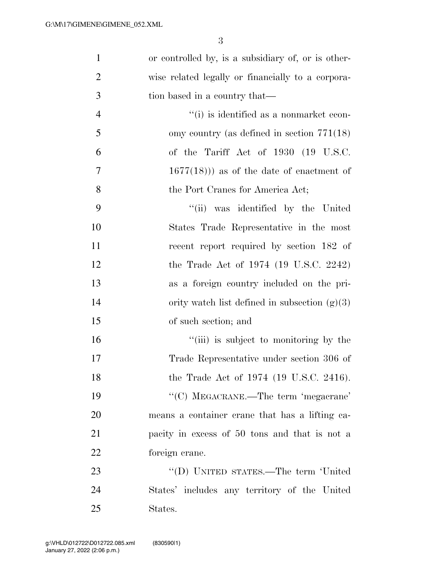3

| $\mathbf{1}$   | or controlled by, is a subsidiary of, or is other- |
|----------------|----------------------------------------------------|
| $\overline{2}$ | wise related legally or financially to a corpora-  |
| 3              | tion based in a country that—                      |
| $\overline{4}$ | "(i) is identified as a nonmarket econ-            |
| 5              | omy country (as defined in section $771(18)$ )     |
| 6              | of the Tariff Act of 1930 (19 U.S.C.               |
| $\overline{7}$ | $(1677(18)))$ as of the date of enactment of       |
| 8              | the Port Cranes for America Act;                   |
| 9              | "(ii) was identified by the United                 |
| 10             | States Trade Representative in the most            |
| 11             | recent report required by section 182 of           |
| 12             | the Trade Act of $1974$ (19 U.S.C. 2242)           |
| 13             | as a foreign country included on the pri-          |
| 14             | ority watch list defined in subsection $(g)(3)$    |
| 15             | of such section; and                               |
| 16             | "(iii) is subject to monitoring by the             |
| 17             | Trade Representative under section 306 of          |
| 18             | the Trade Act of 1974 (19 U.S.C. 2416).            |
| 19             | "(C) MEGACRANE.—The term 'megacrane'               |
| 20             | means a container crane that has a lifting ca-     |
| 21             | pacity in excess of 50 tons and that is not a      |
| 22             | foreign crane.                                     |
| 23             | "(D) UNITED STATES.—The term 'United               |
| 24             | States' includes any territory of the United       |
| 25             | States.                                            |